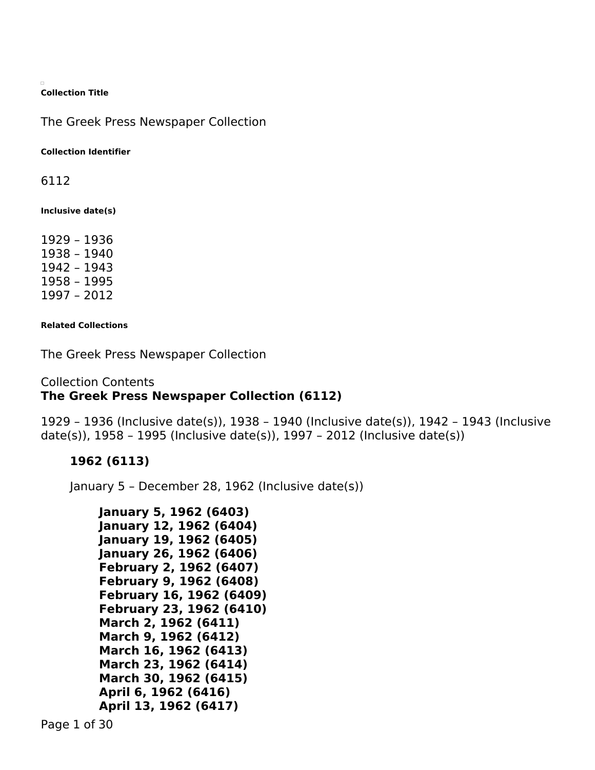**Collection Title**

The Greek Press Newspaper Collection

**Collection Identifier**

6112

**Inclusive date(s)**

1929 – 1936 1938 – 1940 1942 – 1943 1958 – 1995 1997 – 2012

**Related Collections**

The Greek Press Newspaper Collection

## Collection Contents **The Greek Press Newspaper Collection (6112)**

1929 – 1936 (Inclusive date(s)), 1938 – 1940 (Inclusive date(s)), 1942 – 1943 (Inclusive date(s)), 1958 – 1995 (Inclusive date(s)), 1997 – 2012 (Inclusive date(s))

## **1962 (6113)**

January 5 – December 28, 1962 (Inclusive date(s))

```
January 5, 1962 (6403)
January 12, 1962 (6404)
January 19, 1962 (6405)
January 26, 1962 (6406)
February 2, 1962 (6407)
February 9, 1962 (6408)
February 16, 1962 (6409)
February 23, 1962 (6410)
March 2, 1962 (6411)
March 9, 1962 (6412)
March 16, 1962 (6413)
March 23, 1962 (6414)
March 30, 1962 (6415)
April 6, 1962 (6416)
April 13, 1962 (6417)
```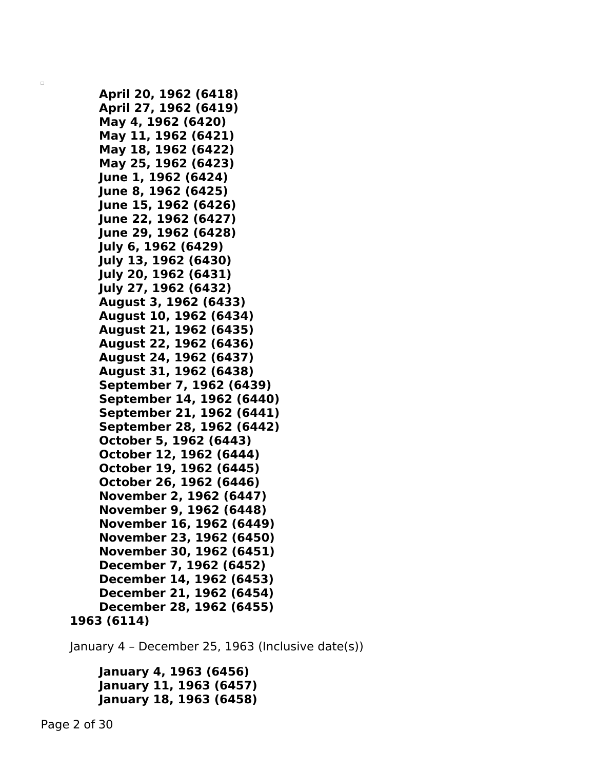```
April 20, 1962 (6418)
    April 27, 1962 (6419)
    May 4, 1962 (6420)
    May 11, 1962 (6421)
    May 18, 1962 (6422)
    May 25, 1962 (6423)
    June 1, 1962 (6424)
    June 8, 1962 (6425)
    June 15, 1962 (6426)
   June 22, 1962 (6427)
   June 29, 1962 (6428)
    July 6, 1962 (6429)
    July 13, 1962 (6430)
    July 20, 1962 (6431)
    July 27, 1962 (6432)
    August 3, 1962 (6433)
    August 10, 1962 (6434)
    August 21, 1962 (6435)
    August 22, 1962 (6436)
    August 24, 1962 (6437)
    August 31, 1962 (6438)
    September 7, 1962 (6439)
    September 14, 1962 (6440)
    September 21, 1962 (6441)
    September 28, 1962 (6442)
    October 5, 1962 (6443)
    October 12, 1962 (6444)
    October 19, 1962 (6445)
    October 26, 1962 (6446)
    November 2, 1962 (6447)
    November 9, 1962 (6448)
    November 16, 1962 (6449)
    November 23, 1962 (6450)
    November 30, 1962 (6451)
    December 7, 1962 (6452)
    December 14, 1962 (6453)
    December 21, 1962 (6454)
    December 28, 1962 (6455)
1963 (6114)
```
January 4 – December 25, 1963 (Inclusive date(s))

```
January 4, 1963 (6456)
January 11, 1963 (6457)
January 18, 1963 (6458)
```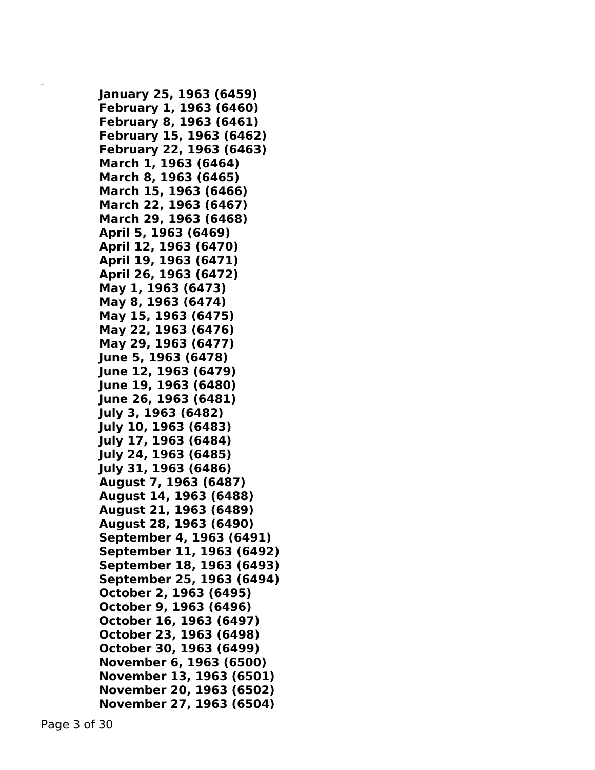**January 25, 1963 (6459) February 1, 1963 (6460) February 8, 1963 (6461) February 15, 1963 (6462) February 22, 1963 (6463) March 1, 1963 (6464) March 8, 1963 (6465) March 15, 1963 (6466) March 22, 1963 (6467) March 29, 1963 (6468) April 5, 1963 (6469) April 12, 1963 (6470) April 19, 1963 (6471) April 26, 1963 (6472) May 1, 1963 (6473) May 8, 1963 (6474) May 15, 1963 (6475) May 22, 1963 (6476) May 29, 1963 (6477) June 5, 1963 (6478) June 12, 1963 (6479) June 19, 1963 (6480) June 26, 1963 (6481) July 3, 1963 (6482) July 10, 1963 (6483) July 17, 1963 (6484) July 24, 1963 (6485) July 31, 1963 (6486) August 7, 1963 (6487) August 14, 1963 (6488) August 21, 1963 (6489) August 28, 1963 (6490) September 4, 1963 (6491) September 11, 1963 (6492) September 18, 1963 (6493) September 25, 1963 (6494) October 2, 1963 (6495) October 9, 1963 (6496) October 16, 1963 (6497) October 23, 1963 (6498) October 30, 1963 (6499) November 6, 1963 (6500) November 13, 1963 (6501) November 20, 1963 (6502) November 27, 1963 (6504)**

Page 3 of 30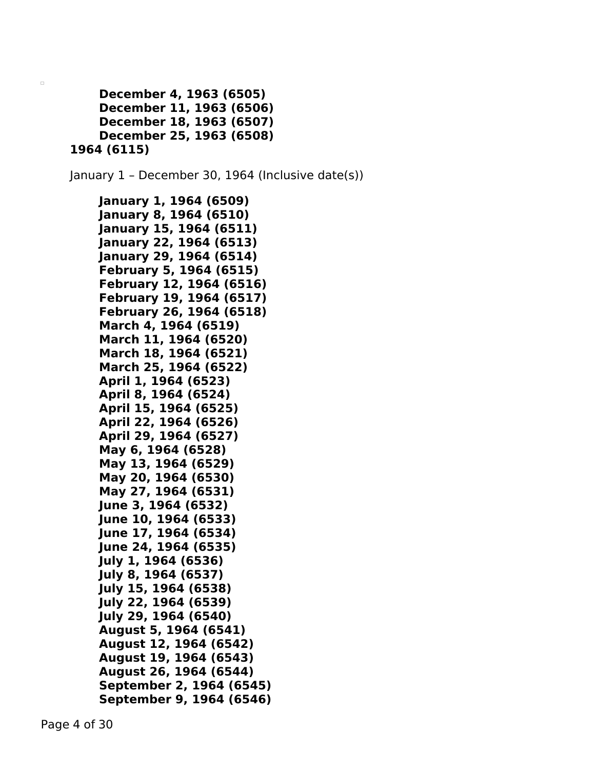```
December 4, 1963 (6505)
    December 11, 1963 (6506)
    December 18, 1963 (6507)
    December 25, 1963 (6508)
1964 (6115)
```
January 1 – December 30, 1964 (Inclusive date(s))

```
January 1, 1964 (6509)
January 8, 1964 (6510)
January 15, 1964 (6511)
January 22, 1964 (6513)
January 29, 1964 (6514)
February 5, 1964 (6515)
February 12, 1964 (6516)
February 19, 1964 (6517)
February 26, 1964 (6518)
March 4, 1964 (6519)
March 11, 1964 (6520)
March 18, 1964 (6521)
March 25, 1964 (6522)
April 1, 1964 (6523)
April 8, 1964 (6524)
April 15, 1964 (6525)
April 22, 1964 (6526)
April 29, 1964 (6527)
May 6, 1964 (6528)
May 13, 1964 (6529)
May 20, 1964 (6530)
May 27, 1964 (6531)
June 3, 1964 (6532)
June 10, 1964 (6533)
June 17, 1964 (6534)
June 24, 1964 (6535)
July 1, 1964 (6536)
July 8, 1964 (6537)
July 15, 1964 (6538)
July 22, 1964 (6539)
July 29, 1964 (6540)
August 5, 1964 (6541)
August 12, 1964 (6542)
August 19, 1964 (6543)
August 26, 1964 (6544)
September 2, 1964 (6545)
September 9, 1964 (6546)
```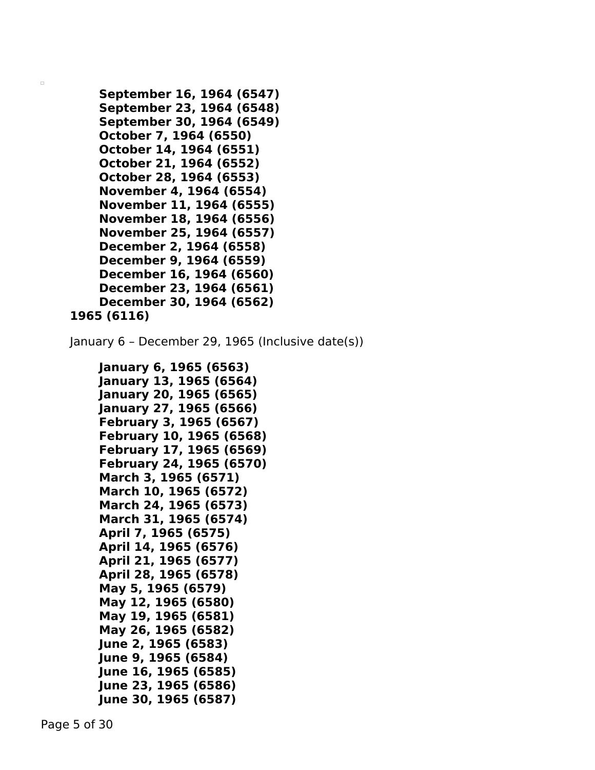```
September 16, 1964 (6547)
    September 23, 1964 (6548)
    September 30, 1964 (6549)
    October 7, 1964 (6550)
    October 14, 1964 (6551)
    October 21, 1964 (6552)
    October 28, 1964 (6553)
    November 4, 1964 (6554)
    November 11, 1964 (6555)
    November 18, 1964 (6556)
    November 25, 1964 (6557)
    December 2, 1964 (6558)
    December 9, 1964 (6559)
    December 16, 1964 (6560)
    December 23, 1964 (6561)
    December 30, 1964 (6562)
1965 (6116)
```
January 6 – December 29, 1965 (Inclusive date(s))

```
January 6, 1965 (6563)
January 13, 1965 (6564)
January 20, 1965 (6565)
January 27, 1965 (6566)
February 3, 1965 (6567)
February 10, 1965 (6568)
February 17, 1965 (6569)
February 24, 1965 (6570)
March 3, 1965 (6571)
March 10, 1965 (6572)
March 24, 1965 (6573)
March 31, 1965 (6574)
April 7, 1965 (6575)
April 14, 1965 (6576)
April 21, 1965 (6577)
April 28, 1965 (6578)
May 5, 1965 (6579)
May 12, 1965 (6580)
May 19, 1965 (6581)
May 26, 1965 (6582)
June 2, 1965 (6583)
June 9, 1965 (6584)
June 16, 1965 (6585)
June 23, 1965 (6586)
June 30, 1965 (6587)
```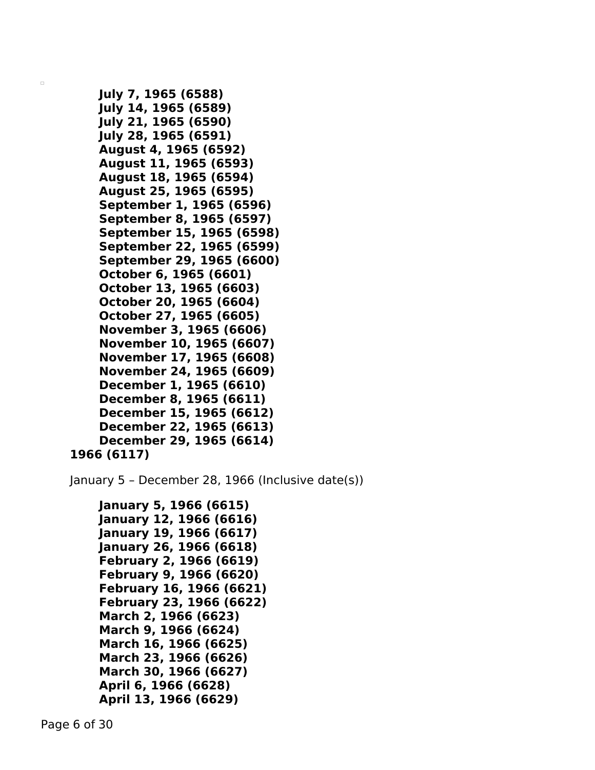```
July 7, 1965 (6588)
July 14, 1965 (6589)
July 21, 1965 (6590)
July 28, 1965 (6591)
August 4, 1965 (6592)
August 11, 1965 (6593)
August 18, 1965 (6594)
August 25, 1965 (6595)
September 1, 1965 (6596)
September 8, 1965 (6597)
September 15, 1965 (6598)
September 22, 1965 (6599)
September 29, 1965 (6600)
October 6, 1965 (6601)
October 13, 1965 (6603)
October 20, 1965 (6604)
October 27, 1965 (6605)
November 3, 1965 (6606)
November 10, 1965 (6607)
November 17, 1965 (6608)
November 24, 1965 (6609)
December 1, 1965 (6610)
December 8, 1965 (6611)
December 15, 1965 (6612)
December 22, 1965 (6613)
December 29, 1965 (6614)
```

```
1966 (6117)
```
January 5 – December 28, 1966 (Inclusive date(s))

```
January 5, 1966 (6615)
January 12, 1966 (6616)
January 19, 1966 (6617)
January 26, 1966 (6618)
February 2, 1966 (6619)
February 9, 1966 (6620)
February 16, 1966 (6621)
February 23, 1966 (6622)
March 2, 1966 (6623)
March 9, 1966 (6624)
March 16, 1966 (6625)
March 23, 1966 (6626)
March 30, 1966 (6627)
April 6, 1966 (6628)
April 13, 1966 (6629)
```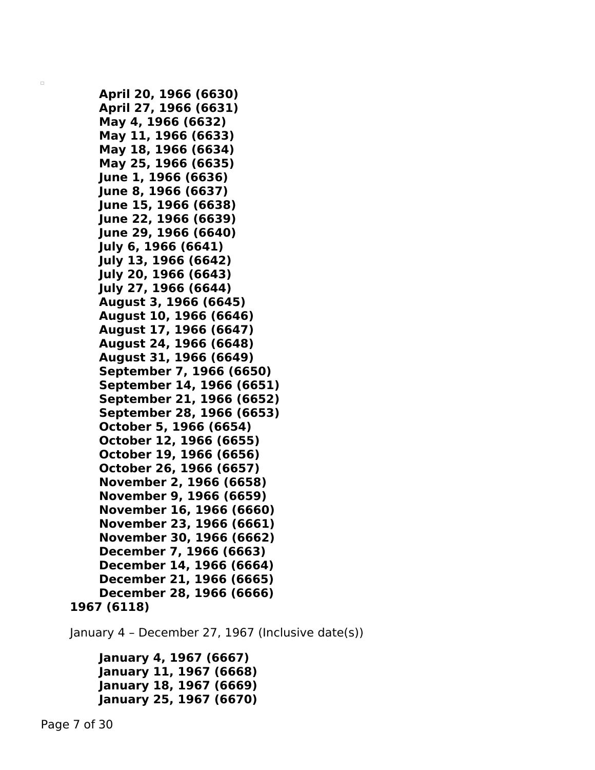```
April 20, 1966 (6630)
    April 27, 1966 (6631)
    May 4, 1966 (6632)
    May 11, 1966 (6633)
    May 18, 1966 (6634)
    May 25, 1966 (6635)
    June 1, 1966 (6636)
    June 8, 1966 (6637)
    June 15, 1966 (6638)
   June 22, 1966 (6639)
    June 29, 1966 (6640)
    July 6, 1966 (6641)
    July 13, 1966 (6642)
    July 20, 1966 (6643)
    July 27, 1966 (6644)
    August 3, 1966 (6645)
    August 10, 1966 (6646)
    August 17, 1966 (6647)
    August 24, 1966 (6648)
    August 31, 1966 (6649)
    September 7, 1966 (6650)
    September 14, 1966 (6651)
    September 21, 1966 (6652)
    September 28, 1966 (6653)
    October 5, 1966 (6654)
    October 12, 1966 (6655)
    October 19, 1966 (6656)
    October 26, 1966 (6657)
    November 2, 1966 (6658)
    November 9, 1966 (6659)
    November 16, 1966 (6660)
    November 23, 1966 (6661)
    November 30, 1966 (6662)
    December 7, 1966 (6663)
    December 14, 1966 (6664)
    December 21, 1966 (6665)
    December 28, 1966 (6666)
1967 (6118)
```
January 4 – December 27, 1967 (Inclusive date(s))

```
January 4, 1967 (6667)
January 11, 1967 (6668)
January 18, 1967 (6669)
January 25, 1967 (6670)
```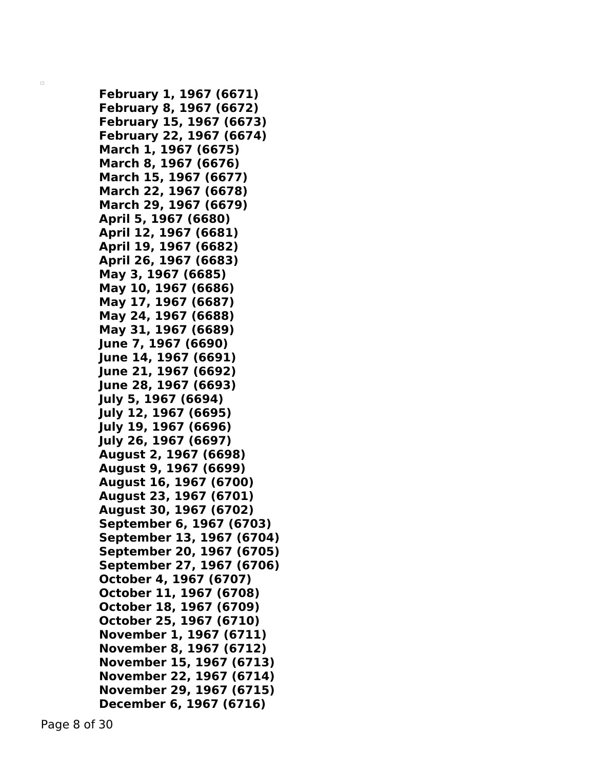**February 1, 1967 (6671) February 8, 1967 (6672) February 15, 1967 (6673) February 22, 1967 (6674) March 1, 1967 (6675) March 8, 1967 (6676) March 15, 1967 (6677) March 22, 1967 (6678) March 29, 1967 (6679) April 5, 1967 (6680) April 12, 1967 (6681) April 19, 1967 (6682) April 26, 1967 (6683) May 3, 1967 (6685) May 10, 1967 (6686) May 17, 1967 (6687) May 24, 1967 (6688) May 31, 1967 (6689) June 7, 1967 (6690) June 14, 1967 (6691) June 21, 1967 (6692) June 28, 1967 (6693) July 5, 1967 (6694) July 12, 1967 (6695) July 19, 1967 (6696) July 26, 1967 (6697) August 2, 1967 (6698) August 9, 1967 (6699) August 16, 1967 (6700) August 23, 1967 (6701) August 30, 1967 (6702) September 6, 1967 (6703) September 13, 1967 (6704) September 20, 1967 (6705) September 27, 1967 (6706) October 4, 1967 (6707) October 11, 1967 (6708) October 18, 1967 (6709) October 25, 1967 (6710) November 1, 1967 (6711) November 8, 1967 (6712) November 15, 1967 (6713) November 22, 1967 (6714) November 29, 1967 (6715) December 6, 1967 (6716)**

Page 8 of 30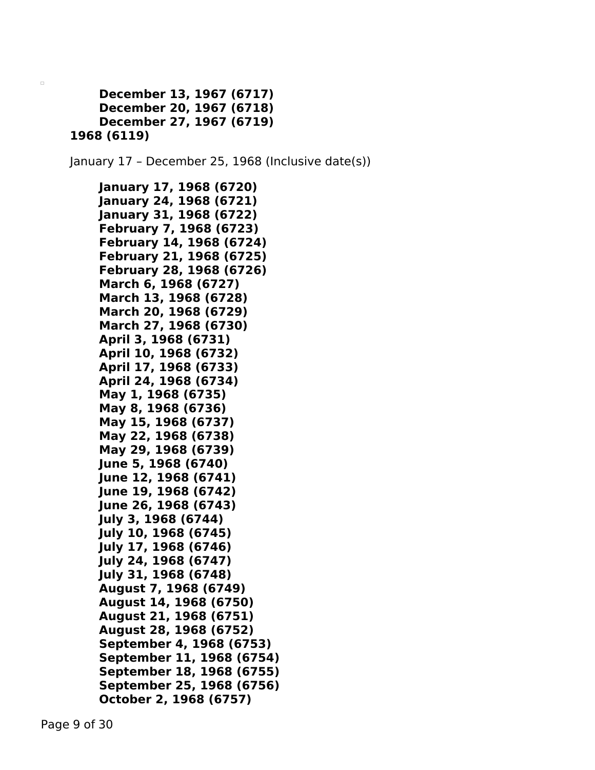```
December 13, 1967 (6717)
    December 20, 1967 (6718)
    December 27, 1967 (6719)
1968 (6119)
```
January 17 – December 25, 1968 (Inclusive date(s))

```
January 17, 1968 (6720)
January 24, 1968 (6721)
January 31, 1968 (6722)
February 7, 1968 (6723)
February 14, 1968 (6724)
February 21, 1968 (6725)
February 28, 1968 (6726)
March 6, 1968 (6727)
March 13, 1968 (6728)
March 20, 1968 (6729)
March 27, 1968 (6730)
April 3, 1968 (6731)
April 10, 1968 (6732)
April 17, 1968 (6733)
April 24, 1968 (6734)
May 1, 1968 (6735)
May 8, 1968 (6736)
May 15, 1968 (6737)
May 22, 1968 (6738)
May 29, 1968 (6739)
June 5, 1968 (6740)
June 12, 1968 (6741)
June 19, 1968 (6742)
June 26, 1968 (6743)
July 3, 1968 (6744)
July 10, 1968 (6745)
July 17, 1968 (6746)
July 24, 1968 (6747)
July 31, 1968 (6748)
August 7, 1968 (6749)
August 14, 1968 (6750)
August 21, 1968 (6751)
August 28, 1968 (6752)
September 4, 1968 (6753)
September 11, 1968 (6754)
September 18, 1968 (6755)
September 25, 1968 (6756)
October 2, 1968 (6757)
```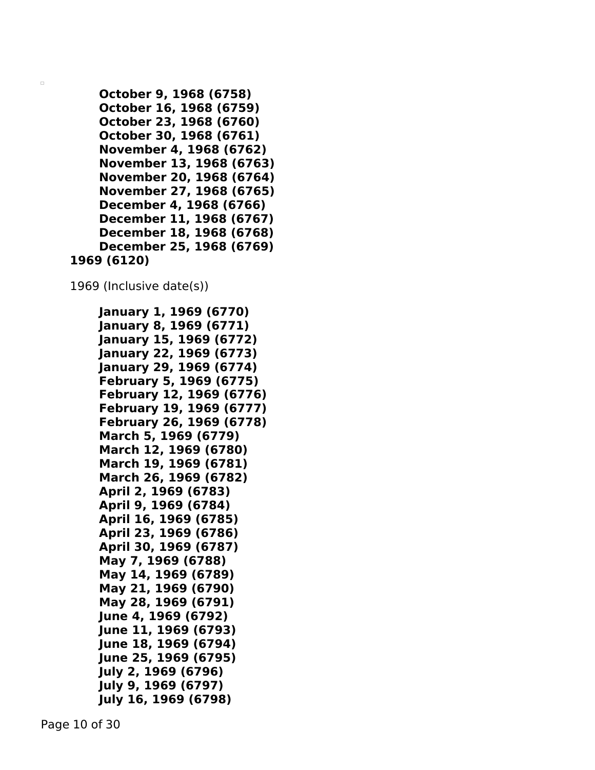```
October 9, 1968 (6758)
    October 16, 1968 (6759)
    October 23, 1968 (6760)
    October 30, 1968 (6761)
    November 4, 1968 (6762)
    November 13, 1968 (6763)
    November 20, 1968 (6764)
    November 27, 1968 (6765)
    December 4, 1968 (6766)
    December 11, 1968 (6767)
    December 18, 1968 (6768)
    December 25, 1968 (6769)
1969 (6120)
```
1969 (Inclusive date(s))

```
January 1, 1969 (6770)
January 8, 1969 (6771)
January 15, 1969 (6772)
January 22, 1969 (6773)
January 29, 1969 (6774)
February 5, 1969 (6775)
February 12, 1969 (6776)
February 19, 1969 (6777)
February 26, 1969 (6778)
March 5, 1969 (6779)
March 12, 1969 (6780)
March 19, 1969 (6781)
March 26, 1969 (6782)
April 2, 1969 (6783)
April 9, 1969 (6784)
April 16, 1969 (6785)
April 23, 1969 (6786)
April 30, 1969 (6787)
May 7, 1969 (6788)
May 14, 1969 (6789)
May 21, 1969 (6790)
May 28, 1969 (6791)
June 4, 1969 (6792)
June 11, 1969 (6793)
June 18, 1969 (6794)
June 25, 1969 (6795)
July 2, 1969 (6796)
July 9, 1969 (6797)
July 16, 1969 (6798)
```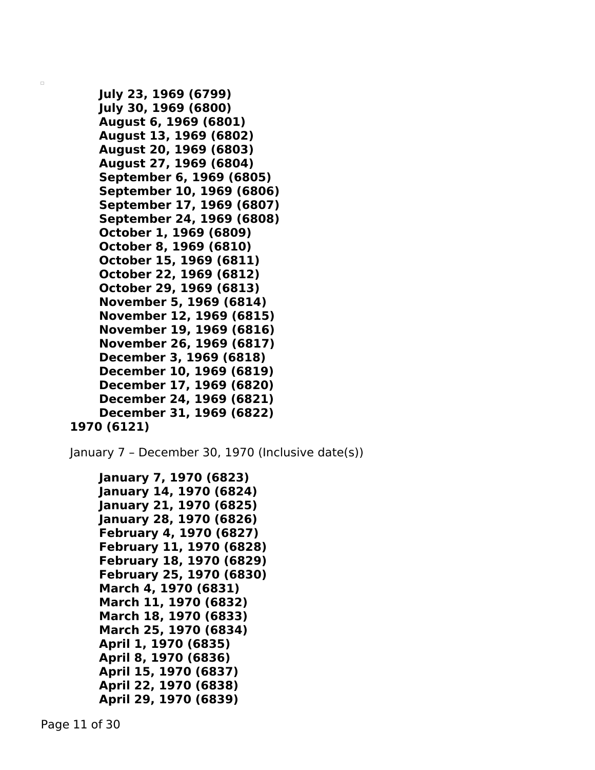```
July 23, 1969 (6799)
    July 30, 1969 (6800)
    August 6, 1969 (6801)
    August 13, 1969 (6802)
    August 20, 1969 (6803)
    August 27, 1969 (6804)
    September 6, 1969 (6805)
    September 10, 1969 (6806)
    September 17, 1969 (6807)
    September 24, 1969 (6808)
    October 1, 1969 (6809)
    October 8, 1969 (6810)
    October 15, 1969 (6811)
    October 22, 1969 (6812)
    October 29, 1969 (6813)
    November 5, 1969 (6814)
    November 12, 1969 (6815)
    November 19, 1969 (6816)
    November 26, 1969 (6817)
    December 3, 1969 (6818)
    December 10, 1969 (6819)
    December 17, 1969 (6820)
    December 24, 1969 (6821)
    December 31, 1969 (6822)
1970 (6121)
```
January 7 – December 30, 1970 (Inclusive date(s))

```
January 7, 1970 (6823)
January 14, 1970 (6824)
January 21, 1970 (6825)
January 28, 1970 (6826)
February 4, 1970 (6827)
February 11, 1970 (6828)
February 18, 1970 (6829)
February 25, 1970 (6830)
March 4, 1970 (6831)
March 11, 1970 (6832)
March 18, 1970 (6833)
March 25, 1970 (6834)
April 1, 1970 (6835)
April 8, 1970 (6836)
April 15, 1970 (6837)
April 22, 1970 (6838)
April 29, 1970 (6839)
```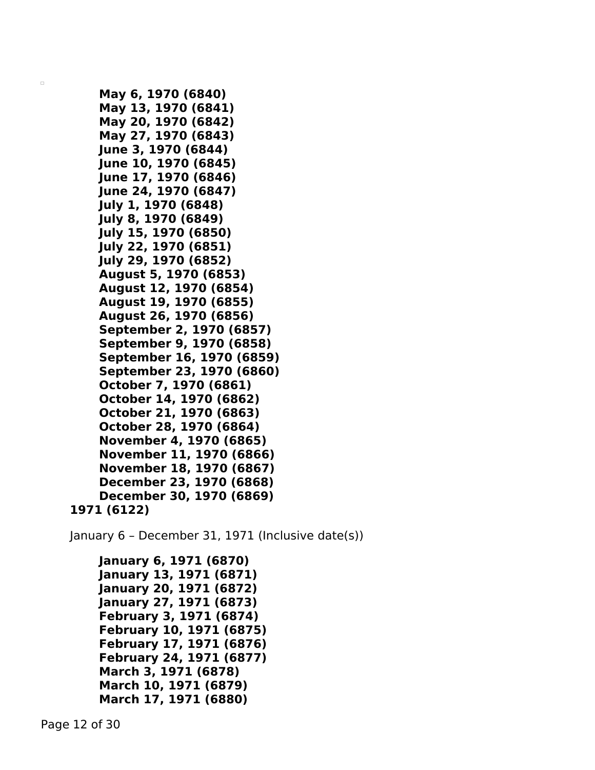```
May 6, 1970 (6840)
    May 13, 1970 (6841)
    May 20, 1970 (6842)
    May 27, 1970 (6843)
    June 3, 1970 (6844)
    June 10, 1970 (6845)
   June 17, 1970 (6846)
    June 24, 1970 (6847)
    July 1, 1970 (6848)
    July 8, 1970 (6849)
    July 15, 1970 (6850)
    July 22, 1970 (6851)
    July 29, 1970 (6852)
    August 5, 1970 (6853)
    August 12, 1970 (6854)
    August 19, 1970 (6855)
    August 26, 1970 (6856)
    September 2, 1970 (6857)
    September 9, 1970 (6858)
    September 16, 1970 (6859)
    September 23, 1970 (6860)
    October 7, 1970 (6861)
    October 14, 1970 (6862)
    October 21, 1970 (6863)
    October 28, 1970 (6864)
    November 4, 1970 (6865)
    November 11, 1970 (6866)
    November 18, 1970 (6867)
    December 23, 1970 (6868)
    December 30, 1970 (6869)
1971 (6122)
```
January 6 – December 31, 1971 (Inclusive date(s))

```
January 6, 1971 (6870)
January 13, 1971 (6871)
January 20, 1971 (6872)
January 27, 1971 (6873)
February 3, 1971 (6874)
February 10, 1971 (6875)
February 17, 1971 (6876)
February 24, 1971 (6877)
March 3, 1971 (6878)
March 10, 1971 (6879)
March 17, 1971 (6880)
```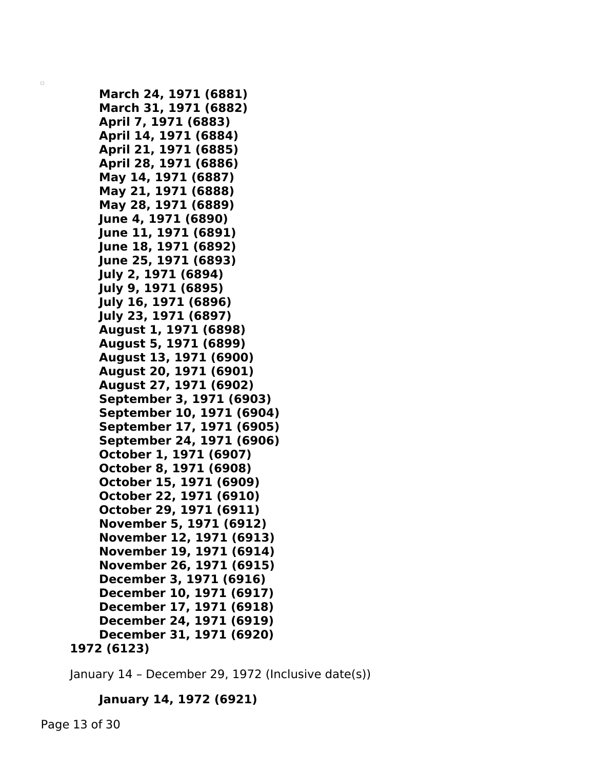```
March 24, 1971 (6881)
    March 31, 1971 (6882)
    April 7, 1971 (6883)
    April 14, 1971 (6884)
    April 21, 1971 (6885)
    April 28, 1971 (6886)
    May 14, 1971 (6887)
    May 21, 1971 (6888)
    May 28, 1971 (6889)
    June 4, 1971 (6890)
    June 11, 1971 (6891)
    June 18, 1971 (6892)
    June 25, 1971 (6893)
   July 2, 1971 (6894)
    July 9, 1971 (6895)
    July 16, 1971 (6896)
   July 23, 1971 (6897)
    August 1, 1971 (6898)
    August 5, 1971 (6899)
    August 13, 1971 (6900)
    August 20, 1971 (6901)
    August 27, 1971 (6902)
    September 3, 1971 (6903)
    September 10, 1971 (6904)
    September 17, 1971 (6905)
    September 24, 1971 (6906)
    October 1, 1971 (6907)
    October 8, 1971 (6908)
    October 15, 1971 (6909)
    October 22, 1971 (6910)
    October 29, 1971 (6911)
    November 5, 1971 (6912)
    November 12, 1971 (6913)
    November 19, 1971 (6914)
    November 26, 1971 (6915)
    December 3, 1971 (6916)
    December 10, 1971 (6917)
    December 17, 1971 (6918)
    December 24, 1971 (6919)
    December 31, 1971 (6920)
1972 (6123)
```

```
January 14 – December 29, 1972 (Inclusive date(s))
```
## **January 14, 1972 (6921)**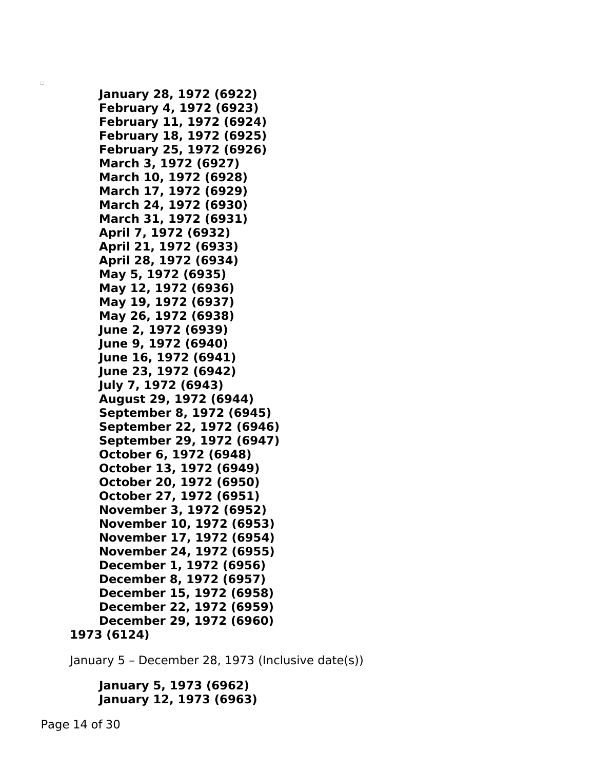```
January 28, 1972 (6922)
    February 4, 1972 (6923)
    February 11, 1972 (6924)
    February 18, 1972 (6925)
    February 25, 1972 (6926)
    March 3, 1972 (6927)
    March 10, 1972 (6928)
    March 17, 1972 (6929)
    March 24, 1972 (6930)
    March 31, 1972 (6931)
    April 7, 1972 (6932)
    April 21, 1972 (6933)
    April 28, 1972 (6934)
    May 5, 1972 (6935)
    May 12, 1972 (6936)
    May 19, 1972 (6937)
    May 26, 1972 (6938)
    June 2, 1972 (6939)
    June 9, 1972 (6940)
   June 16, 1972 (6941)
    June 23, 1972 (6942)
    July 7, 1972 (6943)
    August 29, 1972 (6944)
    September 8, 1972 (6945)
    September 22, 1972 (6946)
    September 29, 1972 (6947)
    October 6, 1972 (6948)
    October 13, 1972 (6949)
    October 20, 1972 (6950)
    October 27, 1972 (6951)
    November 3, 1972 (6952)
    November 10, 1972 (6953)
    November 17, 1972 (6954)
    November 24, 1972 (6955)
    December 1, 1972 (6956)
    December 8, 1972 (6957)
    December 15, 1972 (6958)
    December 22, 1972 (6959)
    December 29, 1972 (6960)
1973 (6124)
```
January 5 – December 28, 1973 (Inclusive date(s))

```
January 5, 1973 (6962)
January 12, 1973 (6963)
```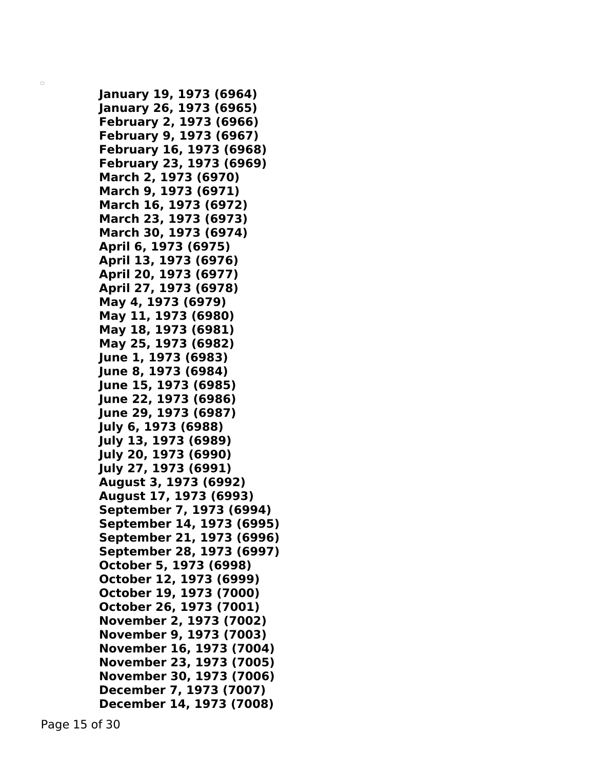**January 19, 1973 (6964) January 26, 1973 (6965) February 2, 1973 (6966) February 9, 1973 (6967) February 16, 1973 (6968) February 23, 1973 (6969) March 2, 1973 (6970) March 9, 1973 (6971) March 16, 1973 (6972) March 23, 1973 (6973) March 30, 1973 (6974) April 6, 1973 (6975) April 13, 1973 (6976) April 20, 1973 (6977) April 27, 1973 (6978) May 4, 1973 (6979) May 11, 1973 (6980) May 18, 1973 (6981) May 25, 1973 (6982) June 1, 1973 (6983) June 8, 1973 (6984) June 15, 1973 (6985) June 22, 1973 (6986) June 29, 1973 (6987) July 6, 1973 (6988) July 13, 1973 (6989) July 20, 1973 (6990) July 27, 1973 (6991) August 3, 1973 (6992) August 17, 1973 (6993) September 7, 1973 (6994) September 14, 1973 (6995) September 21, 1973 (6996) September 28, 1973 (6997) October 5, 1973 (6998) October 12, 1973 (6999) October 19, 1973 (7000) October 26, 1973 (7001) November 2, 1973 (7002) November 9, 1973 (7003) November 16, 1973 (7004) November 23, 1973 (7005) November 30, 1973 (7006) December 7, 1973 (7007) December 14, 1973 (7008)**

Page 15 of 30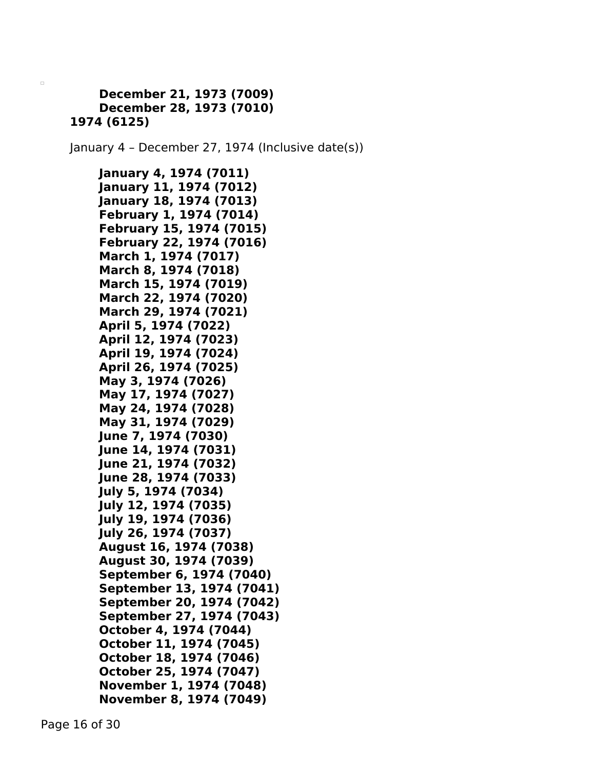## **December 21, 1973 (7009) December 28, 1973 (7010) 1974 (6125)**

 $\Box$ 

January 4 – December 27, 1974 (Inclusive date(s))

**January 4, 1974 (7011) January 11, 1974 (7012) January 18, 1974 (7013) February 1, 1974 (7014) February 15, 1974 (7015) February 22, 1974 (7016) March 1, 1974 (7017) March 8, 1974 (7018) March 15, 1974 (7019) March 22, 1974 (7020) March 29, 1974 (7021) April 5, 1974 (7022) April 12, 1974 (7023) April 19, 1974 (7024) April 26, 1974 (7025) May 3, 1974 (7026) May 17, 1974 (7027) May 24, 1974 (7028) May 31, 1974 (7029) June 7, 1974 (7030) June 14, 1974 (7031) June 21, 1974 (7032) June 28, 1974 (7033) July 5, 1974 (7034) July 12, 1974 (7035) July 19, 1974 (7036) July 26, 1974 (7037) August 16, 1974 (7038) August 30, 1974 (7039) September 6, 1974 (7040) September 13, 1974 (7041) September 20, 1974 (7042) September 27, 1974 (7043) October 4, 1974 (7044) October 11, 1974 (7045) October 18, 1974 (7046) October 25, 1974 (7047) November 1, 1974 (7048) November 8, 1974 (7049)**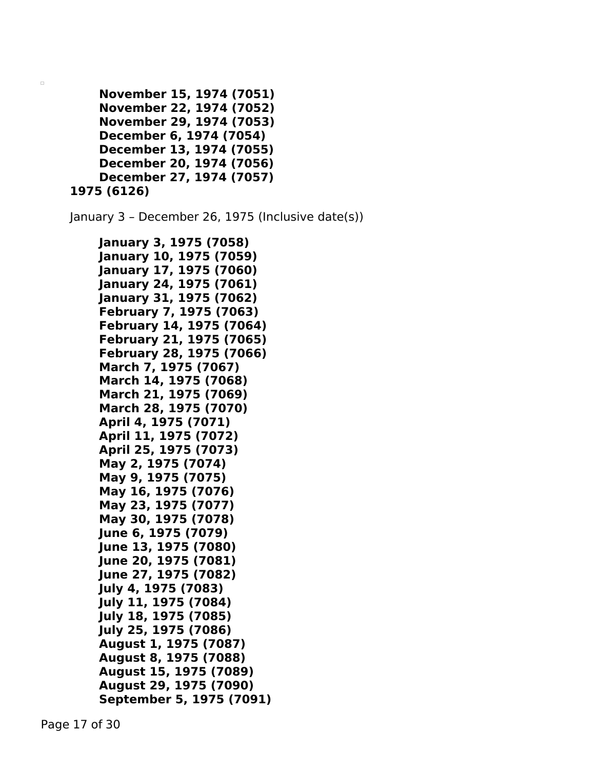```
November 15, 1974 (7051)
    November 22, 1974 (7052)
    November 29, 1974 (7053)
    December 6, 1974 (7054)
    December 13, 1974 (7055)
    December 20, 1974 (7056)
    December 27, 1974 (7057)
1975 (6126)
```
January 3 – December 26, 1975 (Inclusive date(s))

```
January 3, 1975 (7058)
January 10, 1975 (7059)
January 17, 1975 (7060)
January 24, 1975 (7061)
January 31, 1975 (7062)
February 7, 1975 (7063)
February 14, 1975 (7064)
February 21, 1975 (7065)
February 28, 1975 (7066)
March 7, 1975 (7067)
March 14, 1975 (7068)
March 21, 1975 (7069)
March 28, 1975 (7070)
April 4, 1975 (7071)
April 11, 1975 (7072)
April 25, 1975 (7073)
May 2, 1975 (7074)
May 9, 1975 (7075)
May 16, 1975 (7076)
May 23, 1975 (7077)
May 30, 1975 (7078)
June 6, 1975 (7079)
June 13, 1975 (7080)
June 20, 1975 (7081)
June 27, 1975 (7082)
July 4, 1975 (7083)
July 11, 1975 (7084)
July 18, 1975 (7085)
July 25, 1975 (7086)
August 1, 1975 (7087)
August 8, 1975 (7088)
August 15, 1975 (7089)
August 29, 1975 (7090)
September 5, 1975 (7091)
```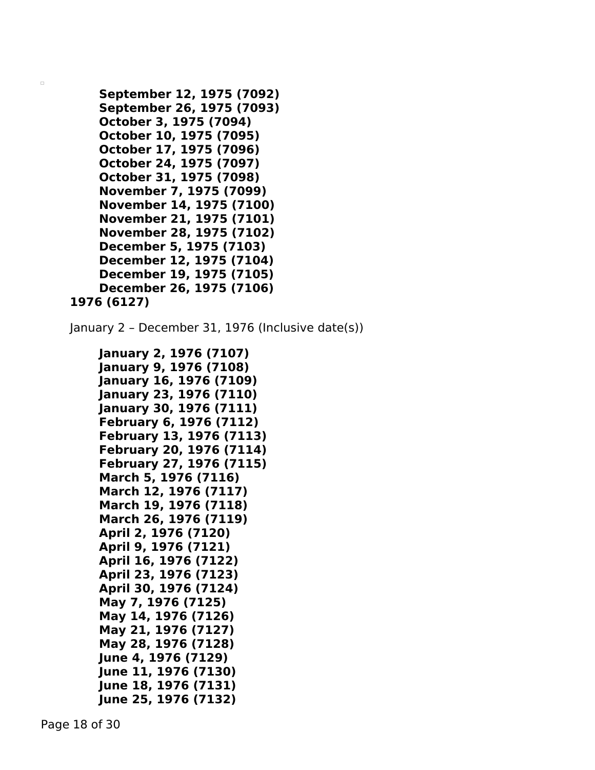```
September 12, 1975 (7092)
    September 26, 1975 (7093)
    October 3, 1975 (7094)
    October 10, 1975 (7095)
    October 17, 1975 (7096)
    October 24, 1975 (7097)
    October 31, 1975 (7098)
    November 7, 1975 (7099)
    November 14, 1975 (7100)
    November 21, 1975 (7101)
    November 28, 1975 (7102)
    December 5, 1975 (7103)
    December 12, 1975 (7104)
    December 19, 1975 (7105)
    December 26, 1975 (7106)
1976 (6127)
```
January 2 – December 31, 1976 (Inclusive date(s))

```
January 2, 1976 (7107)
January 9, 1976 (7108)
January 16, 1976 (7109)
January 23, 1976 (7110)
January 30, 1976 (7111)
February 6, 1976 (7112)
February 13, 1976 (7113)
February 20, 1976 (7114)
February 27, 1976 (7115)
March 5, 1976 (7116)
March 12, 1976 (7117)
March 19, 1976 (7118)
March 26, 1976 (7119)
April 2, 1976 (7120)
April 9, 1976 (7121)
April 16, 1976 (7122)
April 23, 1976 (7123)
April 30, 1976 (7124)
May 7, 1976 (7125)
May 14, 1976 (7126)
May 21, 1976 (7127)
May 28, 1976 (7128)
June 4, 1976 (7129)
June 11, 1976 (7130)
June 18, 1976 (7131)
June 25, 1976 (7132)
```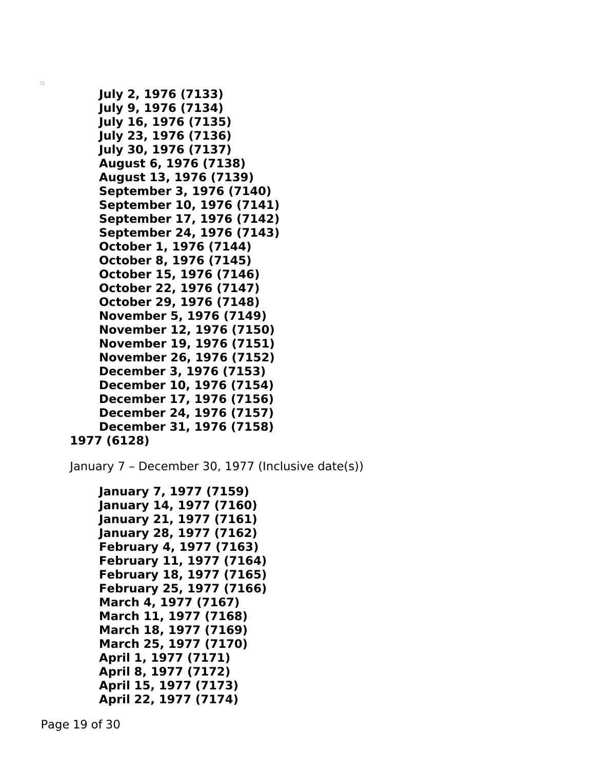```
July 2, 1976 (7133)
    July 9, 1976 (7134)
    July 16, 1976 (7135)
    July 23, 1976 (7136)
    July 30, 1976 (7137)
    August 6, 1976 (7138)
    August 13, 1976 (7139)
    September 3, 1976 (7140)
    September 10, 1976 (7141)
    September 17, 1976 (7142)
    September 24, 1976 (7143)
    October 1, 1976 (7144)
    October 8, 1976 (7145)
    October 15, 1976 (7146)
    October 22, 1976 (7147)
    October 29, 1976 (7148)
    November 5, 1976 (7149)
    November 12, 1976 (7150)
    November 19, 1976 (7151)
    November 26, 1976 (7152)
    December 3, 1976 (7153)
    December 10, 1976 (7154)
    December 17, 1976 (7156)
    December 24, 1976 (7157)
    December 31, 1976 (7158)
1977 (6128)
```
January 7 – December 30, 1977 (Inclusive date(s))

```
January 7, 1977 (7159)
January 14, 1977 (7160)
January 21, 1977 (7161)
January 28, 1977 (7162)
February 4, 1977 (7163)
February 11, 1977 (7164)
February 18, 1977 (7165)
February 25, 1977 (7166)
March 4, 1977 (7167)
March 11, 1977 (7168)
March 18, 1977 (7169)
March 25, 1977 (7170)
April 1, 1977 (7171)
April 8, 1977 (7172)
April 15, 1977 (7173)
April 22, 1977 (7174)
```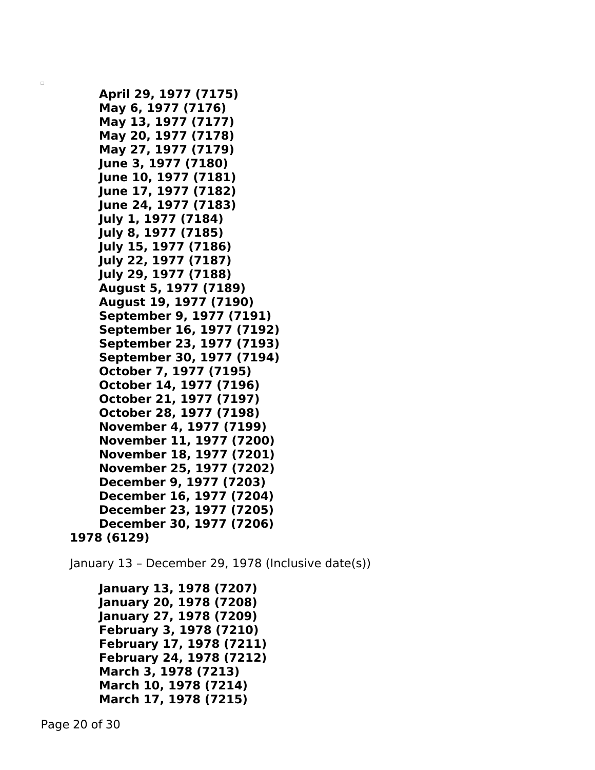```
April 29, 1977 (7175)
    May 6, 1977 (7176)
    May 13, 1977 (7177)
    May 20, 1977 (7178)
    May 27, 1977 (7179)
    June 3, 1977 (7180)
   June 10, 1977 (7181)
    June 17, 1977 (7182)
    June 24, 1977 (7183)
   July 1, 1977 (7184)
    July 8, 1977 (7185)
    July 15, 1977 (7186)
    July 22, 1977 (7187)
    July 29, 1977 (7188)
    August 5, 1977 (7189)
    August 19, 1977 (7190)
    September 9, 1977 (7191)
    September 16, 1977 (7192)
    September 23, 1977 (7193)
    September 30, 1977 (7194)
    October 7, 1977 (7195)
    October 14, 1977 (7196)
    October 21, 1977 (7197)
    October 28, 1977 (7198)
    November 4, 1977 (7199)
    November 11, 1977 (7200)
    November 18, 1977 (7201)
    November 25, 1977 (7202)
    December 9, 1977 (7203)
    December 16, 1977 (7204)
    December 23, 1977 (7205)
    December 30, 1977 (7206)
1978 (6129)
```
January 13 – December 29, 1978 (Inclusive date(s))

```
January 13, 1978 (7207)
January 20, 1978 (7208)
January 27, 1978 (7209)
February 3, 1978 (7210)
February 17, 1978 (7211)
February 24, 1978 (7212)
March 3, 1978 (7213)
March 10, 1978 (7214)
March 17, 1978 (7215)
```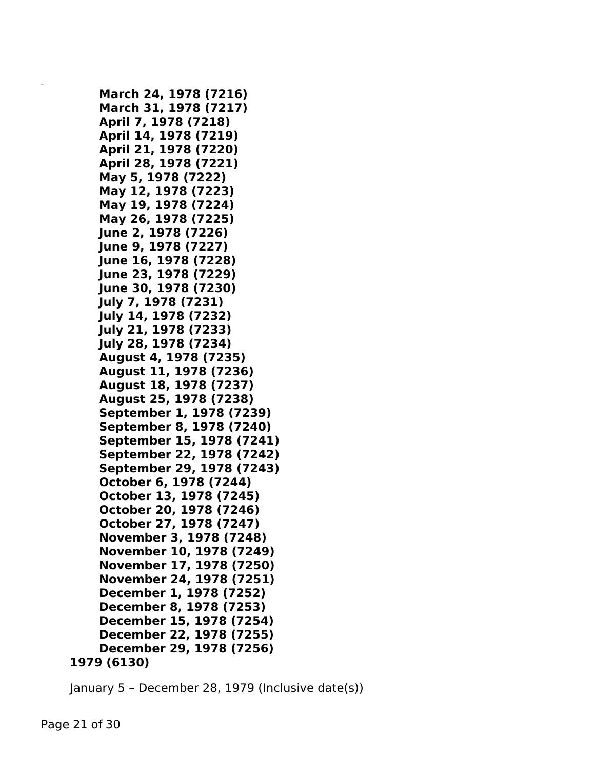```
March 24, 1978 (7216)
    March 31, 1978 (7217)
    April 7, 1978 (7218)
    April 14, 1978 (7219)
    April 21, 1978 (7220)
    April 28, 1978 (7221)
    May 5, 1978 (7222)
    May 12, 1978 (7223)
    May 19, 1978 (7224)
    May 26, 1978 (7225)
    June 2, 1978 (7226)
    June 9, 1978 (7227)
   June 16, 1978 (7228)
   June 23, 1978 (7229)
    June 30, 1978 (7230)
    July 7, 1978 (7231)
   July 14, 1978 (7232)
    July 21, 1978 (7233)
    July 28, 1978 (7234)
    August 4, 1978 (7235)
    August 11, 1978 (7236)
    August 18, 1978 (7237)
    August 25, 1978 (7238)
    September 1, 1978 (7239)
    September 8, 1978 (7240)
    September 15, 1978 (7241)
    September 22, 1978 (7242)
    September 29, 1978 (7243)
    October 6, 1978 (7244)
    October 13, 1978 (7245)
    October 20, 1978 (7246)
    October 27, 1978 (7247)
    November 3, 1978 (7248)
    November 10, 1978 (7249)
    November 17, 1978 (7250)
    November 24, 1978 (7251)
    December 1, 1978 (7252)
    December 8, 1978 (7253)
    December 15, 1978 (7254)
    December 22, 1978 (7255)
    December 29, 1978 (7256)
1979 (6130)
```
January 5 – December 28, 1979 (Inclusive date(s))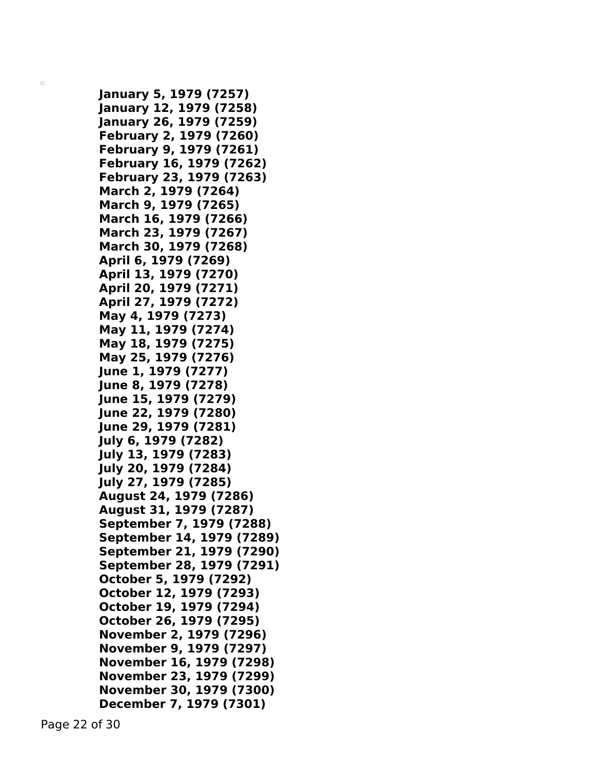**January 5, 1979 (7257) January 12, 1979 (7258) January 26, 1979 (7259) February 2, 1979 (7260) February 9, 1979 (7261) February 16, 1979 (7262) February 23, 1979 (7263) March 2, 1979 (7264) March 9, 1979 (7265) March 16, 1979 (7266) March 23, 1979 (7267) March 30, 1979 (7268) April 6, 1979 (7269) April 13, 1979 (7270) April 20, 1979 (7271) April 27, 1979 (7272) May 4, 1979 (7273) May 11, 1979 (7274) May 18, 1979 (7275) May 25, 1979 (7276) June 1, 1979 (7277) June 8, 1979 (7278) June 15, 1979 (7279) June 22, 1979 (7280) June 29, 1979 (7281) July 6, 1979 (7282) July 13, 1979 (7283) July 20, 1979 (7284) July 27, 1979 (7285) August 24, 1979 (7286) August 31, 1979 (7287) September 7, 1979 (7288) September 14, 1979 (7289) September 21, 1979 (7290) September 28, 1979 (7291) October 5, 1979 (7292) October 12, 1979 (7293) October 19, 1979 (7294) October 26, 1979 (7295) November 2, 1979 (7296) November 9, 1979 (7297) November 16, 1979 (7298) November 23, 1979 (7299) November 30, 1979 (7300) December 7, 1979 (7301)**

Page 22 of 30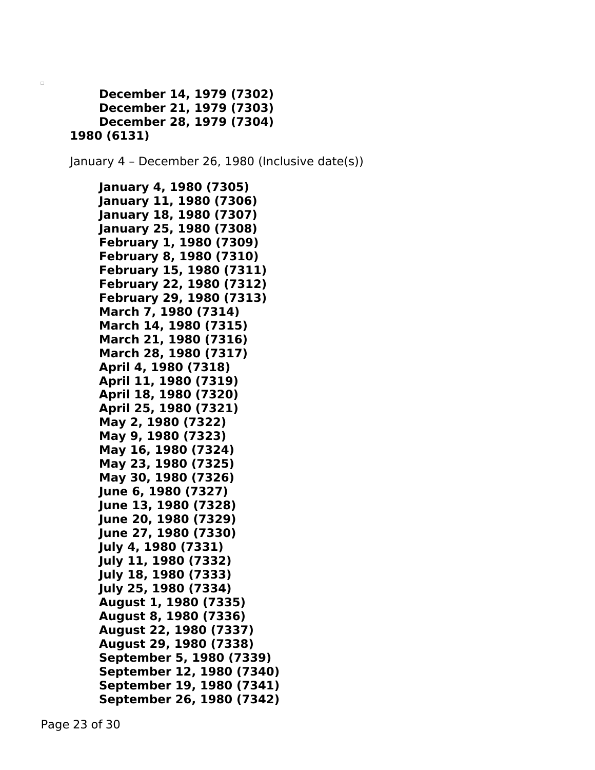```
December 14, 1979 (7302)
    December 21, 1979 (7303)
    December 28, 1979 (7304)
1980 (6131)
```
January 4 – December 26, 1980 (Inclusive date(s))

```
January 4, 1980 (7305)
January 11, 1980 (7306)
January 18, 1980 (7307)
January 25, 1980 (7308)
February 1, 1980 (7309)
February 8, 1980 (7310)
February 15, 1980 (7311)
February 22, 1980 (7312)
February 29, 1980 (7313)
March 7, 1980 (7314)
March 14, 1980 (7315)
March 21, 1980 (7316)
March 28, 1980 (7317)
April 4, 1980 (7318)
April 11, 1980 (7319)
April 18, 1980 (7320)
April 25, 1980 (7321)
May 2, 1980 (7322)
May 9, 1980 (7323)
May 16, 1980 (7324)
May 23, 1980 (7325)
May 30, 1980 (7326)
June 6, 1980 (7327)
June 13, 1980 (7328)
June 20, 1980 (7329)
June 27, 1980 (7330)
July 4, 1980 (7331)
July 11, 1980 (7332)
July 18, 1980 (7333)
July 25, 1980 (7334)
August 1, 1980 (7335)
August 8, 1980 (7336)
August 22, 1980 (7337)
August 29, 1980 (7338)
September 5, 1980 (7339)
September 12, 1980 (7340)
September 19, 1980 (7341)
September 26, 1980 (7342)
```
Page 23 of 30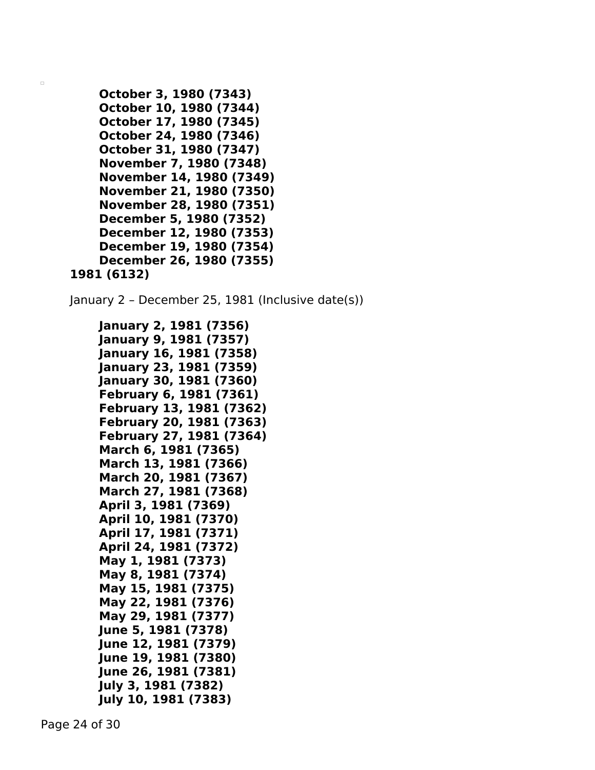```
October 3, 1980 (7343)
    October 10, 1980 (7344)
    October 17, 1980 (7345)
    October 24, 1980 (7346)
    October 31, 1980 (7347)
    November 7, 1980 (7348)
    November 14, 1980 (7349)
    November 21, 1980 (7350)
    November 28, 1980 (7351)
    December 5, 1980 (7352)
    December 12, 1980 (7353)
    December 19, 1980 (7354)
    December 26, 1980 (7355)
1981 (6132)
```
January 2 – December 25, 1981 (Inclusive date(s))

```
January 2, 1981 (7356)
January 9, 1981 (7357)
January 16, 1981 (7358)
January 23, 1981 (7359)
January 30, 1981 (7360)
February 6, 1981 (7361)
February 13, 1981 (7362)
February 20, 1981 (7363)
February 27, 1981 (7364)
March 6, 1981 (7365)
March 13, 1981 (7366)
March 20, 1981 (7367)
March 27, 1981 (7368)
April 3, 1981 (7369)
April 10, 1981 (7370)
April 17, 1981 (7371)
April 24, 1981 (7372)
May 1, 1981 (7373)
May 8, 1981 (7374)
May 15, 1981 (7375)
May 22, 1981 (7376)
May 29, 1981 (7377)
June 5, 1981 (7378)
June 12, 1981 (7379)
June 19, 1981 (7380)
June 26, 1981 (7381)
July 3, 1981 (7382)
July 10, 1981 (7383)
```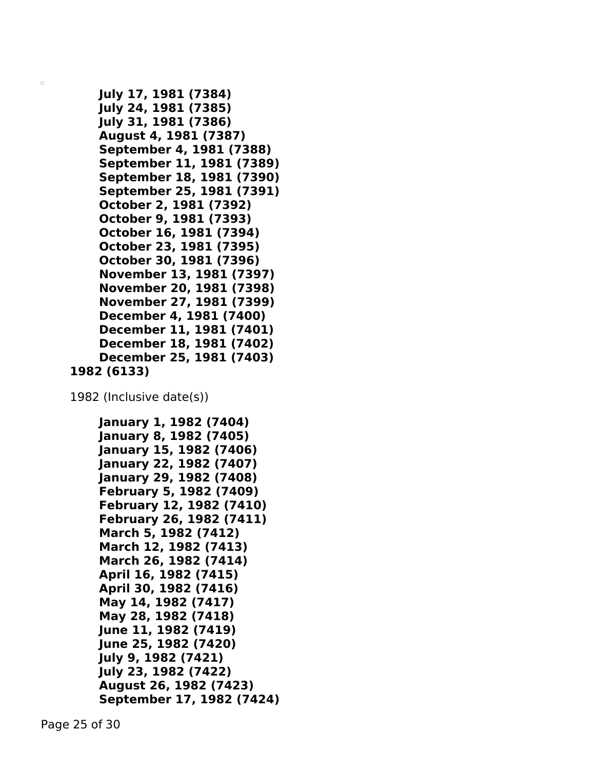```
July 17, 1981 (7384)
    July 24, 1981 (7385)
    July 31, 1981 (7386)
    August 4, 1981 (7387)
    September 4, 1981 (7388)
    September 11, 1981 (7389)
    September 18, 1981 (7390)
    September 25, 1981 (7391)
    October 2, 1981 (7392)
    October 9, 1981 (7393)
    October 16, 1981 (7394)
    October 23, 1981 (7395)
    October 30, 1981 (7396)
    November 13, 1981 (7397)
    November 20, 1981 (7398)
    November 27, 1981 (7399)
    December 4, 1981 (7400)
    December 11, 1981 (7401)
    December 18, 1981 (7402)
    December 25, 1981 (7403)
1982 (6133)
```
1982 (Inclusive date(s))

```
January 1, 1982 (7404)
January 8, 1982 (7405)
January 15, 1982 (7406)
January 22, 1982 (7407)
January 29, 1982 (7408)
February 5, 1982 (7409)
February 12, 1982 (7410)
February 26, 1982 (7411)
March 5, 1982 (7412)
March 12, 1982 (7413)
March 26, 1982 (7414)
April 16, 1982 (7415)
April 30, 1982 (7416)
May 14, 1982 (7417)
May 28, 1982 (7418)
June 11, 1982 (7419)
June 25, 1982 (7420)
July 9, 1982 (7421)
July 23, 1982 (7422)
August 26, 1982 (7423)
September 17, 1982 (7424)
```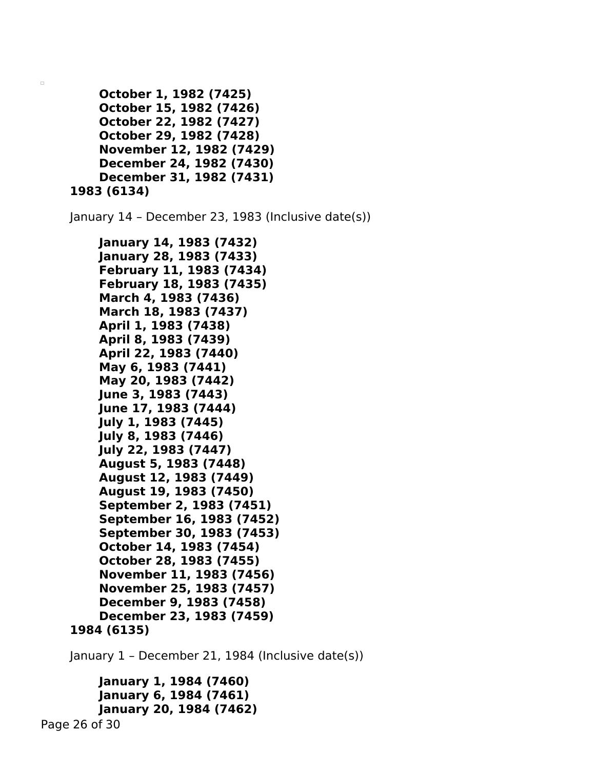```
October 1, 1982 (7425)
    October 15, 1982 (7426)
    October 22, 1982 (7427)
    October 29, 1982 (7428)
    November 12, 1982 (7429)
    December 24, 1982 (7430)
    December 31, 1982 (7431)
1983 (6134)
```
January 14 – December 23, 1983 (Inclusive date(s))

```
January 14, 1983 (7432)
    January 28, 1983 (7433)
    February 11, 1983 (7434)
    February 18, 1983 (7435)
    March 4, 1983 (7436)
    March 18, 1983 (7437)
    April 1, 1983 (7438)
    April 8, 1983 (7439)
    April 22, 1983 (7440)
    May 6, 1983 (7441)
    May 20, 1983 (7442)
    June 3, 1983 (7443)
   June 17, 1983 (7444)
    July 1, 1983 (7445)
    July 8, 1983 (7446)
   July 22, 1983 (7447)
    August 5, 1983 (7448)
    August 12, 1983 (7449)
    August 19, 1983 (7450)
    September 2, 1983 (7451)
    September 16, 1983 (7452)
    September 30, 1983 (7453)
    October 14, 1983 (7454)
    October 28, 1983 (7455)
    November 11, 1983 (7456)
    November 25, 1983 (7457)
    December 9, 1983 (7458)
    December 23, 1983 (7459)
1984 (6135)
```
January 1 – December 21, 1984 (Inclusive date(s))

```
January 1, 1984 (7460)
        January 6, 1984 (7461)
        January 20, 1984 (7462)
Page 26 of 30
```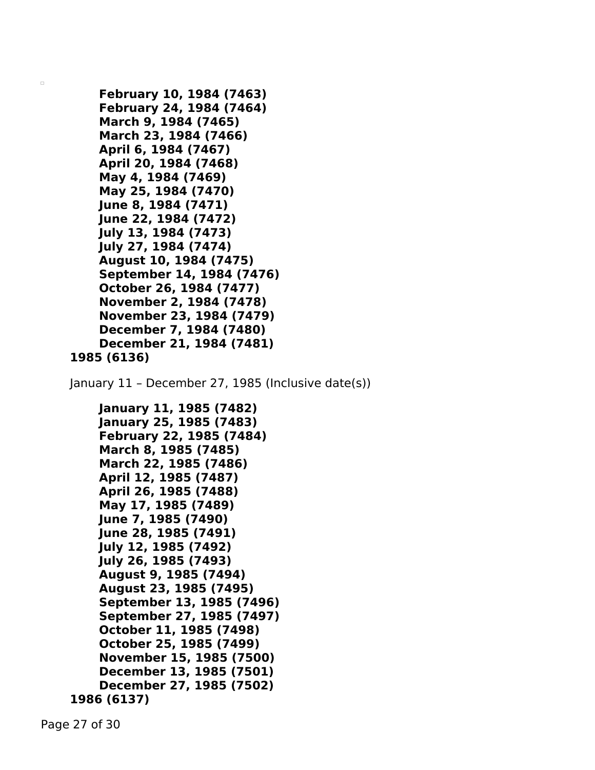```
February 10, 1984 (7463)
    February 24, 1984 (7464)
    March 9, 1984 (7465)
    March 23, 1984 (7466)
    April 6, 1984 (7467)
    April 20, 1984 (7468)
    May 4, 1984 (7469)
    May 25, 1984 (7470)
    June 8, 1984 (7471)
    June 22, 1984 (7472)
    July 13, 1984 (7473)
    July 27, 1984 (7474)
    August 10, 1984 (7475)
    September 14, 1984 (7476)
    October 26, 1984 (7477)
    November 2, 1984 (7478)
    November 23, 1984 (7479)
    December 7, 1984 (7480)
    December 21, 1984 (7481)
1985 (6136)
January 11 – December 27, 1985 (Inclusive date(s))
    January 11, 1985 (7482)
    January 25, 1985 (7483)
    February 22, 1985 (7484)
    March 8, 1985 (7485)
    March 22, 1985 (7486)
    April 12, 1985 (7487)
    April 26, 1985 (7488)
    May 17, 1985 (7489)
    June 7, 1985 (7490)
    June 28, 1985 (7491)
    July 12, 1985 (7492)
    July 26, 1985 (7493)
    August 9, 1985 (7494)
    August 23, 1985 (7495)
    September 13, 1985 (7496)
    September 27, 1985 (7497)
    October 11, 1985 (7498)
    October 25, 1985 (7499)
    November 15, 1985 (7500)
    December 13, 1985 (7501)
    December 27, 1985 (7502)
1986 (6137)
```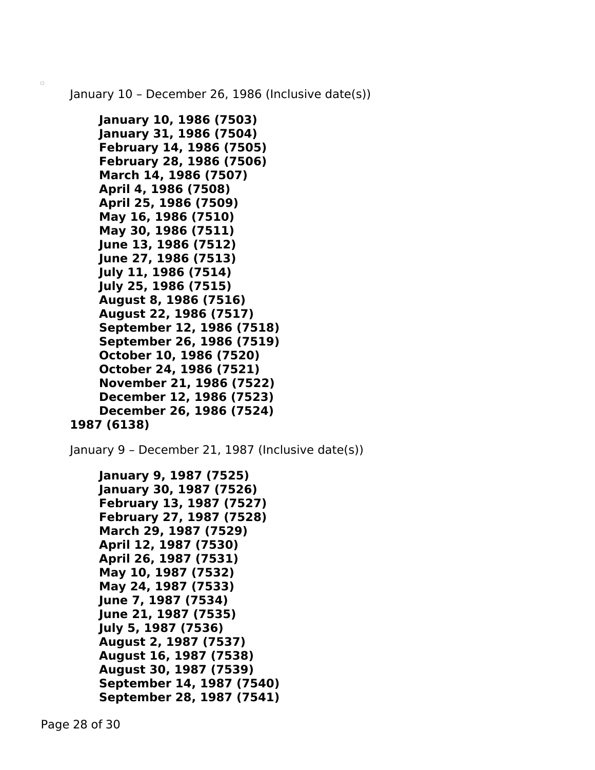January 10 – December 26, 1986 (Inclusive date(s))

```
January 10, 1986 (7503)
    January 31, 1986 (7504)
    February 14, 1986 (7505)
    February 28, 1986 (7506)
    March 14, 1986 (7507)
    April 4, 1986 (7508)
    April 25, 1986 (7509)
    May 16, 1986 (7510)
    May 30, 1986 (7511)
    June 13, 1986 (7512)
    June 27, 1986 (7513)
    July 11, 1986 (7514)
   July 25, 1986 (7515)
    August 8, 1986 (7516)
    August 22, 1986 (7517)
    September 12, 1986 (7518)
    September 26, 1986 (7519)
    October 10, 1986 (7520)
    October 24, 1986 (7521)
    November 21, 1986 (7522)
    December 12, 1986 (7523)
    December 26, 1986 (7524)
1987 (6138)
```
January 9 – December 21, 1987 (Inclusive date(s))

```
January 9, 1987 (7525)
January 30, 1987 (7526)
February 13, 1987 (7527)
February 27, 1987 (7528)
March 29, 1987 (7529)
April 12, 1987 (7530)
April 26, 1987 (7531)
May 10, 1987 (7532)
May 24, 1987 (7533)
June 7, 1987 (7534)
June 21, 1987 (7535)
July 5, 1987 (7536)
August 2, 1987 (7537)
August 16, 1987 (7538)
August 30, 1987 (7539)
September 14, 1987 (7540)
September 28, 1987 (7541)
```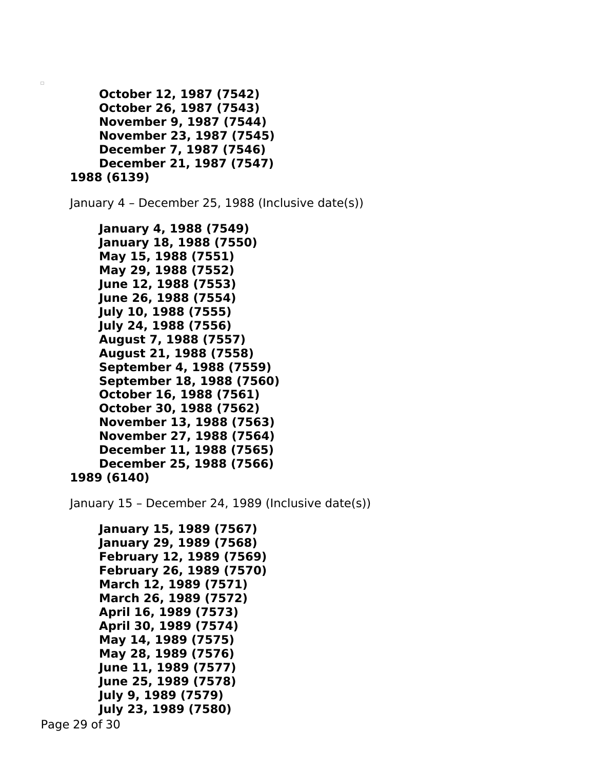```
October 12, 1987 (7542)
    October 26, 1987 (7543)
    November 9, 1987 (7544)
    November 23, 1987 (7545)
    December 7, 1987 (7546)
    December 21, 1987 (7547)
1988 (6139)
```
January 4 – December 25, 1988 (Inclusive date(s))

```
January 4, 1988 (7549)
    January 18, 1988 (7550)
    May 15, 1988 (7551)
    May 29, 1988 (7552)
    June 12, 1988 (7553)
    June 26, 1988 (7554)
   July 10, 1988 (7555)
    July 24, 1988 (7556)
    August 7, 1988 (7557)
    August 21, 1988 (7558)
    September 4, 1988 (7559)
    September 18, 1988 (7560)
    October 16, 1988 (7561)
    October 30, 1988 (7562)
    November 13, 1988 (7563)
    November 27, 1988 (7564)
    December 11, 1988 (7565)
    December 25, 1988 (7566)
1989 (6140)
```
January 15 – December 24, 1989 (Inclusive date(s))

```
January 15, 1989 (7567)
January 29, 1989 (7568)
February 12, 1989 (7569)
February 26, 1989 (7570)
March 12, 1989 (7571)
March 26, 1989 (7572)
April 16, 1989 (7573)
April 30, 1989 (7574)
May 14, 1989 (7575)
May 28, 1989 (7576)
June 11, 1989 (7577)
June 25, 1989 (7578)
July 9, 1989 (7579)
July 23, 1989 (7580)
```

```
Page 29 of 30
```